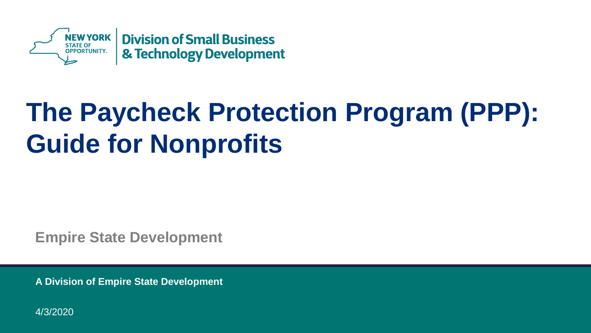

# **The Paycheck Protection Program (PPP): Guide for Nonprofits**

**Empire State Development**

**A Division of Empire State Development** 

4/3/2020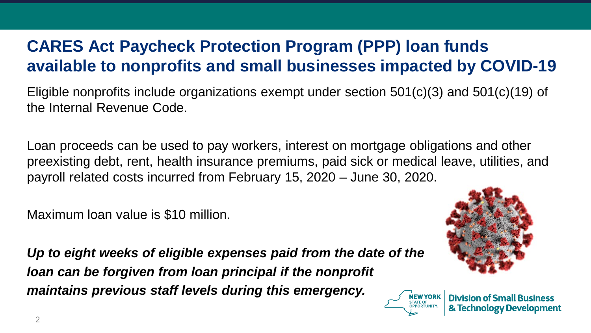### **CARES Act Paycheck Protection Program (PPP) loan funds available to nonprofits and small businesses impacted by COVID-19**

Eligible nonprofits include organizations exempt under section 501(c)(3) and 501(c)(19) of the Internal Revenue Code.

Loan proceeds can be used to pay workers, interest on mortgage obligations and other preexisting debt, rent, health insurance premiums, paid sick or medical leave, utilities, and payroll related costs incurred from February 15, 2020 – June 30, 2020.

Maximum loan value is \$10 million.

*Up to eight weeks of eligible expenses paid from the date of the loan can be forgiven from loan principal if the nonprofit maintains previous staff levels during this emergency.*



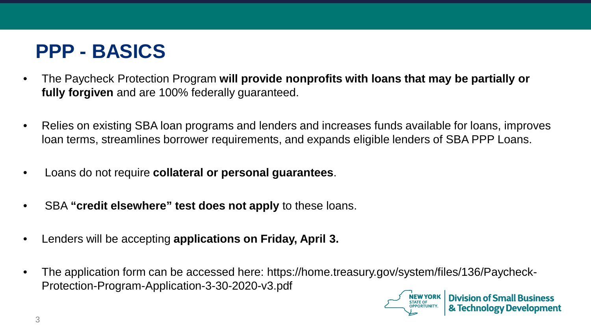## **PPP - BASICS**

- The Paycheck Protection Program **will provide nonprofits with loans that may be partially or fully forgiven** and are 100% federally guaranteed.
- Relies on existing SBA loan programs and lenders and increases funds available for loans, improves loan terms, streamlines borrower requirements, and expands eligible lenders of SBA PPP Loans.
- Loans do not require **collateral or personal guarantees**.
- SBA **"credit elsewhere" test does not apply** to these loans.
- Lenders will be accepting **applications on Friday, April 3.**
- The application form can be accessed here: https://home.treasury.gov/system/files/136/Paycheck-Protection-Program-Application-3-30-2020-v3.pdf

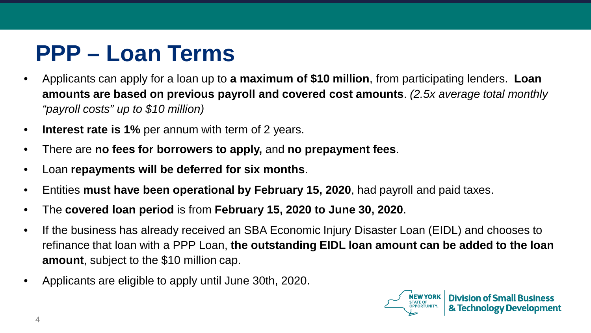# **PPP – Loan Terms**

- Applicants can apply for a loan up to **a maximum of \$10 million**, from participating lenders. **Loan amounts are based on previous payroll and covered cost amounts**. *(2.5x average total monthly "payroll costs" up to \$10 million)*
- **Interest rate is 1%** per annum with term of 2 years.
- There are **no fees for borrowers to apply,** and **no prepayment fees**.
- Loan **repayments will be deferred for six months**.
- Entities **must have been operational by February 15, 2020**, had payroll and paid taxes.
- The **covered loan period** is from **February 15, 2020 to June 30, 2020**.
- If the business has already received an SBA Economic Injury Disaster Loan (EIDL) and chooses to refinance that loan with a PPP Loan, **the outstanding EIDL loan amount can be added to the loan amount**, subject to the \$10 million cap.
- Applicants are eligible to apply until June 30th, 2020.

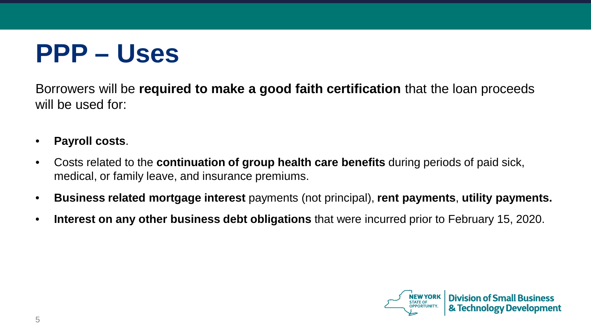# **PPP – Uses**

Borrowers will be **required to make a good faith certification** that the loan proceeds will be used for:

- **Payroll costs**.
- Costs related to the **continuation of group health care benefits** during periods of paid sick, medical, or family leave, and insurance premiums.
- **Business related mortgage interest** payments (not principal), **rent payments**, **utility payments.**
- **Interest on any other business debt obligations** that were incurred prior to February 15, 2020.

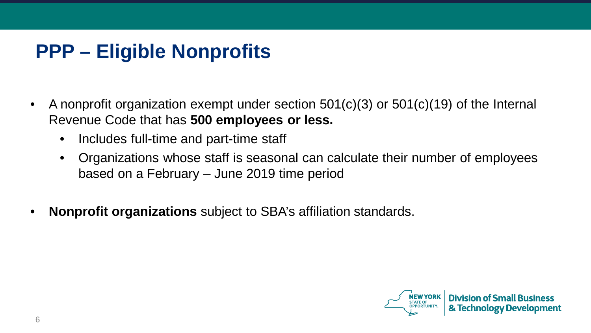## **PPP – Eligible Nonprofits**

- A nonprofit organization exempt under section 501(c)(3) or 501(c)(19) of the Internal Revenue Code that has **500 employees or less.**
	- Includes full-time and part-time staff
	- Organizations whose staff is seasonal can calculate their number of employees based on a February – June 2019 time period
- **Nonprofit organizations** subject to SBA's affiliation standards.

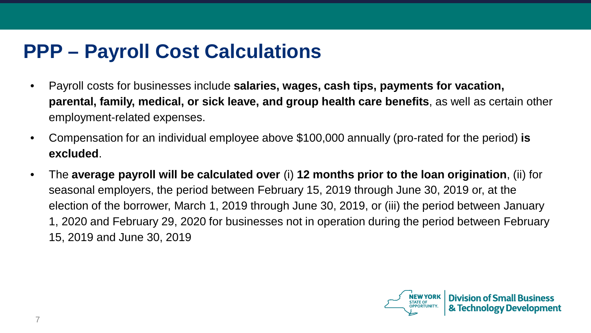## **PPP – Payroll Cost Calculations**

- Payroll costs for businesses include **salaries, wages, cash tips, payments for vacation, parental, family, medical, or sick leave, and group health care benefits**, as well as certain other employment-related expenses.
- Compensation for an individual employee above \$100,000 annually (pro-rated for the period) **is excluded**.
- The **average payroll will be calculated over** (i) **12 months prior to the loan origination**, (ii) for seasonal employers, the period between February 15, 2019 through June 30, 2019 or, at the election of the borrower, March 1, 2019 through June 30, 2019, or (iii) the period between January 1, 2020 and February 29, 2020 for businesses not in operation during the period between February 15, 2019 and June 30, 2019

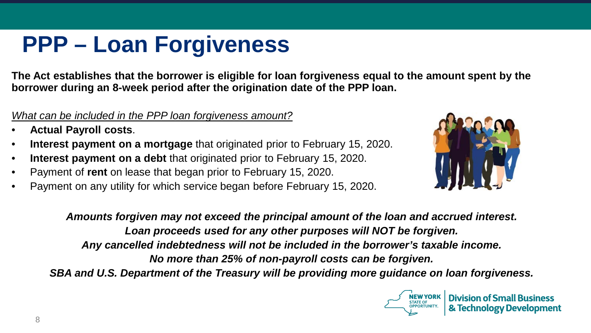# **PPP – Loan Forgiveness**

**The Act establishes that the borrower is eligible for loan forgiveness equal to the amount spent by the borrower during an 8-week period after the origination date of the PPP loan.** 

#### *What can be included in the PPP loan forgiveness amount?*

- **Actual Payroll costs**.
- **Interest payment on a mortgage** that originated prior to February 15, 2020.
- **Interest payment on a debt** that originated prior to February 15, 2020.
- Payment of **rent** on lease that began prior to February 15, 2020.
- Payment on any utility for which service began before February 15, 2020.



*Amounts forgiven may not exceed the principal amount of the loan and accrued interest. Loan proceeds used for any other purposes will NOT be forgiven. Any cancelled indebtedness will not be included in the borrower's taxable income. No more than 25% of non-payroll costs can be forgiven. SBA and U.S. Department of the Treasury will be providing more guidance on loan forgiveness.*

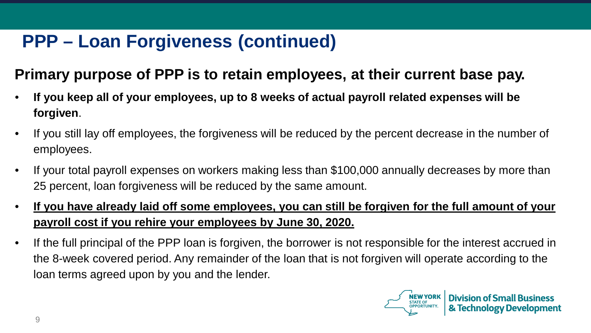### **PPP – Loan Forgiveness (continued)**

### **Primary purpose of PPP is to retain employees, at their current base pay.**

- **If you keep all of your employees, up to 8 weeks of actual payroll related expenses will be forgiven**.
- If you still lay off employees, the forgiveness will be reduced by the percent decrease in the number of employees.
- If your total payroll expenses on workers making less than \$100,000 annually decreases by more than 25 percent, loan forgiveness will be reduced by the same amount.
- **If you have already laid off some employees, you can still be forgiven for the full amount of your payroll cost if you rehire your employees by June 30, 2020.**
- If the full principal of the PPP loan is forgiven, the borrower is not responsible for the interest accrued in the 8-week covered period. Any remainder of the loan that is not forgiven will operate according to the loan terms agreed upon by you and the lender.

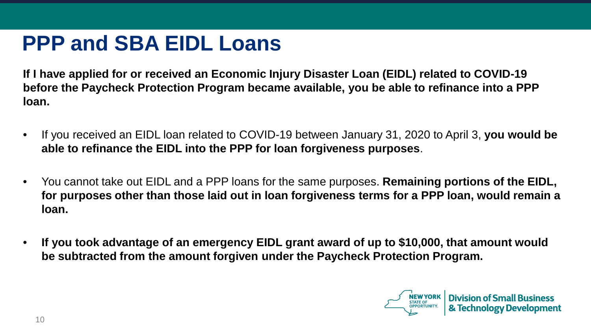# **PPP and SBA EIDL Loans**

**If I have applied for or received an Economic Injury Disaster Loan (EIDL) related to COVID-19 before the Paycheck Protection Program became available, you be able to refinance into a PPP loan.** 

- If you received an EIDL loan related to COVID-19 between January 31, 2020 to April 3, **you would be able to refinance the EIDL into the PPP for loan forgiveness purposes**.
- You cannot take out EIDL and a PPP loans for the same purposes. **Remaining portions of the EIDL, for purposes other than those laid out in loan forgiveness terms for a PPP loan, would remain a loan.**
- **If you took advantage of an emergency EIDL grant award of up to \$10,000, that amount would be subtracted from the amount forgiven under the Paycheck Protection Program.**

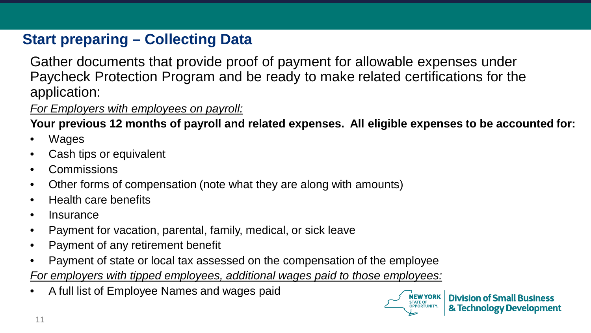### **Start preparing – Collecting Data**

Gather documents that provide proof of payment for allowable expenses under Paycheck Protection Program and be ready to make related certifications for the application:

*For Employers with employees on payroll:*

**Your previous 12 months of payroll and related expenses. All eligible expenses to be accounted for:**

- **Wages**
- Cash tips or equivalent
- Commissions
- Other forms of compensation (note what they are along with amounts)
- Health care benefits
- Insurance
- Payment for vacation, parental, family, medical, or sick leave
- Payment of any retirement benefit
- Payment of state or local tax assessed on the compensation of the employee

*For employers with tipped employees, additional wages paid to those employees:*

• A full list of Employee Names and wages paid

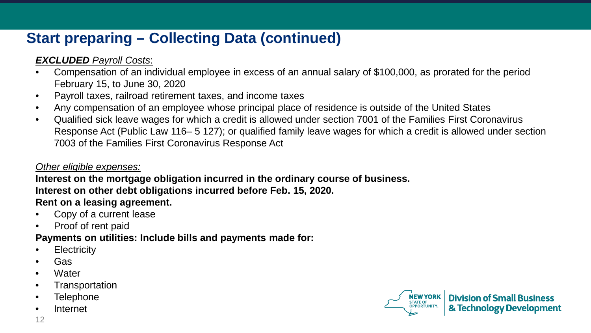### **Start preparing – Collecting Data (continued)**

#### *EXCLUDED Payroll Costs*:

- Compensation of an individual employee in excess of an annual salary of \$100,000, as prorated for the period February 15, to June 30, 2020
- Payroll taxes, railroad retirement taxes, and income taxes
- Any compensation of an employee whose principal place of residence is outside of the United States
- Qualified sick leave wages for which a credit is allowed under section 7001 of the Families First Coronavirus Response Act (Public Law 116– 5 127); or qualified family leave wages for which a credit is allowed under section 7003 of the Families First Coronavirus Response Act

#### *Other eligible expenses:*

#### **Interest on the mortgage obligation incurred in the ordinary course of business. Interest on other debt obligations incurred before Feb. 15, 2020. Rent on a leasing agreement.**

- Copy of a current lease
- Proof of rent paid

#### **Payments on utilities: Include bills and payments made for:**

- Electricity
- Gas
- Water
- Transportation
- Telephone
- Internet

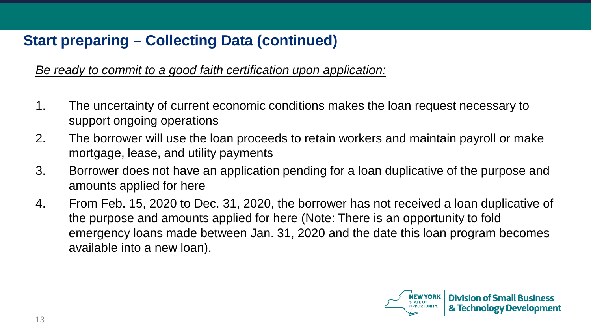### **Start preparing – Collecting Data (continued)**

*Be ready to commit to a good faith certification upon application:*

- 1. The uncertainty of current economic conditions makes the loan request necessary to support ongoing operations
- 2. The borrower will use the loan proceeds to retain workers and maintain payroll or make mortgage, lease, and utility payments
- 3. Borrower does not have an application pending for a loan duplicative of the purpose and amounts applied for here
- 4. From Feb. 15, 2020 to Dec. 31, 2020, the borrower has not received a loan duplicative of the purpose and amounts applied for here (Note: There is an opportunity to fold emergency loans made between Jan. 31, 2020 and the date this loan program becomes available into a new loan).

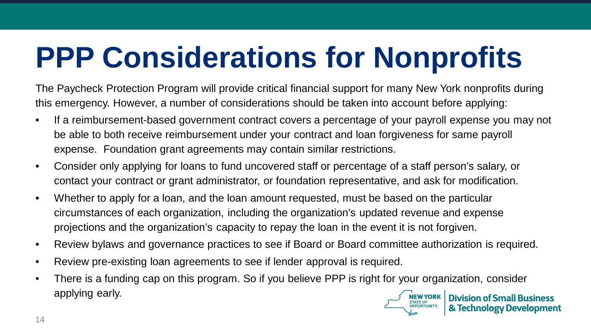# **PPP Considerations for Nonprofits**

The Paycheck Protection Program will provide critical financial support for many New York nonprofits during this emergency. However, a number of considerations should be taken into account before applying:

- If a reimbursement-based government contract covers a percentage of your payroll expense you may not be able to both receive reimbursement under your contract and loan forgiveness for same payroll expense. Foundation grant agreements may contain similar restrictions.
- Consider only applying for loans to fund uncovered staff or percentage of a staff person's salary, or contact your contract or grant administrator, or foundation representative, and ask for modification.
- Whether to apply for a loan, and the loan amount requested, must be based on the particular circumstances of each organization, including the organization's updated revenue and expense projections and the organization's capacity to repay the loan in the event it is not forgiven.
- Review bylaws and governance practices to see if Board or Board committee authorization is required.
- Review pre-existing loan agreements to see if lender approval is required.
- There is a funding cap on this program. So if you believe PPP is right for your organization, consider applying early.**NEW YORK Division of Small Business**

& Technology Development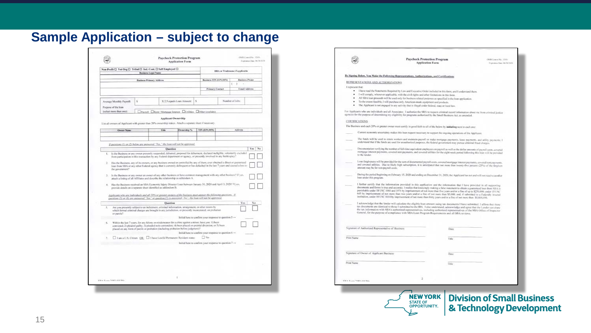|  |  | <b>Sample Application - subject to change</b> |  |
|--|--|-----------------------------------------------|--|
|--|--|-----------------------------------------------|--|

| Non-Profit $\square$ Vet Org $\square$ Tribal $\square$ Ind. Cost, $\square$ Self Employed $\square$<br><b>Business Legal Name</b>                                                                                                                                                                           |   |                                 |                                                                                                                                                                                                                                                                                                         | DBA or Tradename if applicable |   |                                                        |                                                                                                                               |                 |                 |
|--------------------------------------------------------------------------------------------------------------------------------------------------------------------------------------------------------------------------------------------------------------------------------------------------------------|---|---------------------------------|---------------------------------------------------------------------------------------------------------------------------------------------------------------------------------------------------------------------------------------------------------------------------------------------------------|--------------------------------|---|--------------------------------------------------------|-------------------------------------------------------------------------------------------------------------------------------|-----------------|-----------------|
|                                                                                                                                                                                                                                                                                                              |   | <b>Basiness Primary Address</b> |                                                                                                                                                                                                                                                                                                         |                                |   | Business TIN (F.P.,SSN)                                |                                                                                                                               |                 | Basiness Please |
|                                                                                                                                                                                                                                                                                                              |   |                                 |                                                                                                                                                                                                                                                                                                         |                                |   |                                                        |                                                                                                                               | ١               |                 |
|                                                                                                                                                                                                                                                                                                              |   |                                 |                                                                                                                                                                                                                                                                                                         |                                |   | <b>Primary Contact</b>                                 |                                                                                                                               |                 | Email Address   |
|                                                                                                                                                                                                                                                                                                              |   |                                 |                                                                                                                                                                                                                                                                                                         |                                |   |                                                        |                                                                                                                               |                 |                 |
| Average Monthly Payroll:                                                                                                                                                                                                                                                                                     | ś |                                 | X 2.5 equals Loan Amount:                                                                                                                                                                                                                                                                               |                                | ţ |                                                        |                                                                                                                               | Number of Jobs: |                 |
| Purpose of the loan                                                                                                                                                                                                                                                                                          |   |                                 |                                                                                                                                                                                                                                                                                                         |                                |   |                                                        |                                                                                                                               |                 |                 |
| (select more than one):                                                                                                                                                                                                                                                                                      |   |                                 | <b>DPayroll DRent/Mortgage Interest DUtilities DOther (cyplain):</b>                                                                                                                                                                                                                                    |                                |   |                                                        |                                                                                                                               |                 |                 |
|                                                                                                                                                                                                                                                                                                              |   |                                 | Applicant Ownership                                                                                                                                                                                                                                                                                     |                                |   |                                                        |                                                                                                                               |                 |                 |
| List all owners of Applicant with greater than 20% ownership stakes. Attach a separate sheet if necessary.                                                                                                                                                                                                   |   |                                 |                                                                                                                                                                                                                                                                                                         |                                |   |                                                        |                                                                                                                               |                 |                 |
| <b>Owner Name</b>                                                                                                                                                                                                                                                                                            |   |                                 | Title                                                                                                                                                                                                                                                                                                   | Ownership %                    |   | TIN (EIN,SSN)                                          |                                                                                                                               | Address         |                 |
|                                                                                                                                                                                                                                                                                                              |   |                                 |                                                                                                                                                                                                                                                                                                         |                                |   |                                                        |                                                                                                                               |                 |                 |
|                                                                                                                                                                                                                                                                                                              |   |                                 |                                                                                                                                                                                                                                                                                                         |                                |   |                                                        |                                                                                                                               |                 |                 |
| If questions (1) or (2) below any animarcal "Yes," the loost will not be approval,                                                                                                                                                                                                                           |   |                                 |                                                                                                                                                                                                                                                                                                         |                                |   |                                                        |                                                                                                                               |                 |                 |
|                                                                                                                                                                                                                                                                                                              |   |                                 | Ouestion<br>Is the Business or any owner presently suspended, debarred, proposed for debarment, declared ineligible, voluntarily excluded                                                                                                                                                               |                                |   |                                                        |                                                                                                                               |                 | Yes             |
| the gavenment?<br>3. Is the Business of any owner an owner of any other business or have common management with any other business? If yes,                                                                                                                                                                  |   |                                 | loan from SBA or any other Federal agency that is currently delinquent or has defaulted in the last 7 years and caused a loss to<br>attach a listing of all Affiliates and describe the relationship as addendum A.                                                                                     |                                |   |                                                        | Has the Business, any of its owners, or any business owned or controlled by any of them, ever obtained a direct or papranteed |                 |                 |
| 4. Has the Business received an SBA Economic Injury Disaster Loan between January 31, 2020 and April 3, 2020? Hyes,<br>provide details on a separate sheet identified as addendum B.<br>Applicants who are individuals and all 20% or preater moners of the basiness must answer the following apertions. If |   |                                 |                                                                                                                                                                                                                                                                                                         |                                |   |                                                        |                                                                                                                               |                 |                 |
| question (5) or (6) are anneered. "Yex" or question (7) is answered. "No", the least will not be approved.                                                                                                                                                                                                   |   |                                 |                                                                                                                                                                                                                                                                                                         |                                |   |                                                        |                                                                                                                               |                 | No              |
| s.<br>or parole?                                                                                                                                                                                                                                                                                             |   |                                 | Ourstion<br>Are you presently subject to an indictment, criminal information, arraignment, or other means by<br>which formal criminal charges are brought in any jurisdiction, or presently incircented, on probation                                                                                   |                                |   |                                                        |                                                                                                                               |                 | <b>Yes</b>      |
|                                                                                                                                                                                                                                                                                                              |   |                                 |                                                                                                                                                                                                                                                                                                         |                                |   | Initial here to confirm your response to question 5 -- |                                                                                                                               |                 |                 |
| $\sim$                                                                                                                                                                                                                                                                                                       |   |                                 | Within the last 7 years, for any felony or misdemeance for a crime against a minor, have you: 1) been<br>convicted; 2) pleaded guilty; 3) pleaded nolo contendere; 4) been placed on pretrial diversion; or 5) been<br>placed on any form of parole or probation (including probation before judgment)? |                                |   |                                                        |                                                                                                                               |                 |                 |
|                                                                                                                                                                                                                                                                                                              |   |                                 |                                                                                                                                                                                                                                                                                                         |                                |   | Initial here to confirm your response to question 6 -- |                                                                                                                               |                 |                 |
| $7 -$                                                                                                                                                                                                                                                                                                        |   |                                 | I am a U.S. Citizen OR. I I have Lawful Permanent Resident status                                                                                                                                                                                                                                       |                                |   | <b>DE Nov</b>                                          |                                                                                                                               |                 |                 |
|                                                                                                                                                                                                                                                                                                              |   |                                 |                                                                                                                                                                                                                                                                                                         |                                |   | Initial here to confirm your response to question 7 -- |                                                                                                                               |                 |                 |
|                                                                                                                                                                                                                                                                                                              |   |                                 |                                                                                                                                                                                                                                                                                                         |                                |   |                                                        |                                                                                                                               |                 |                 |
|                                                                                                                                                                                                                                                                                                              |   |                                 |                                                                                                                                                                                                                                                                                                         |                                |   |                                                        |                                                                                                                               |                 |                 |
|                                                                                                                                                                                                                                                                                                              |   |                                 |                                                                                                                                                                                                                                                                                                         |                                |   |                                                        |                                                                                                                               |                 |                 |
|                                                                                                                                                                                                                                                                                                              |   |                                 |                                                                                                                                                                                                                                                                                                         |                                |   |                                                        |                                                                                                                               |                 |                 |
|                                                                                                                                                                                                                                                                                                              |   |                                 |                                                                                                                                                                                                                                                                                                         |                                |   |                                                        |                                                                                                                               |                 |                 |

|                                                         | <b>Paycheck Protection Program</b><br><b>Application Form</b>                                                                                                                                                                                                                                                                                                                                                                                                                                                                                                                                                                                                             | OMB Council No. 3245-<br>Engineer Date 46/30/2020 |
|---------------------------------------------------------|---------------------------------------------------------------------------------------------------------------------------------------------------------------------------------------------------------------------------------------------------------------------------------------------------------------------------------------------------------------------------------------------------------------------------------------------------------------------------------------------------------------------------------------------------------------------------------------------------------------------------------------------------------------------------|---------------------------------------------------|
|                                                         | By Signing Below, You Make the Following Representations, Authorizations, and Certifications                                                                                                                                                                                                                                                                                                                                                                                                                                                                                                                                                                              |                                                   |
|                                                         |                                                                                                                                                                                                                                                                                                                                                                                                                                                                                                                                                                                                                                                                           |                                                   |
| REPRESENTATIONS AND AUTHORIZATIONS<br>I represent that: |                                                                                                                                                                                                                                                                                                                                                                                                                                                                                                                                                                                                                                                                           |                                                   |
|                                                         | · I have read the Statements Required by Law and Executive Order included in this form, and I understand them.                                                                                                                                                                                                                                                                                                                                                                                                                                                                                                                                                            |                                                   |
| ٠<br>٠                                                  | I will comply, wherever applicable, with the civil rights and other limitations in this form.<br>All SBA loan proceeds will be used only for business related purposes as specified in the loan application.                                                                                                                                                                                                                                                                                                                                                                                                                                                              |                                                   |
|                                                         | To the extent feasible, I will purchase only American-made equipment and products.                                                                                                                                                                                                                                                                                                                                                                                                                                                                                                                                                                                        |                                                   |
|                                                         | The Applicant is not engaged in any activity that is illegal under federal, state or local law.                                                                                                                                                                                                                                                                                                                                                                                                                                                                                                                                                                           |                                                   |
|                                                         | For Applicants who are individuals and all Associates: I authorize the SBA to request criminal record information about me from criminal justice<br>agencies for the purpose of determining my cligibility for programs authorized by the Small Business Act, as amended.                                                                                                                                                                                                                                                                                                                                                                                                 |                                                   |
| CERTIFICATIONS                                          |                                                                                                                                                                                                                                                                                                                                                                                                                                                                                                                                                                                                                                                                           |                                                   |
|                                                         | The Business and each 20% or greater owner must certify in good faith to all of the below by initialing next to each one:                                                                                                                                                                                                                                                                                                                                                                                                                                                                                                                                                 |                                                   |
|                                                         | Current economic uncertainty makes this loan request necessary to support the ongoing operations of the Applicant.                                                                                                                                                                                                                                                                                                                                                                                                                                                                                                                                                        |                                                   |
|                                                         | The funds will be used to retain workers and maintain payroll or nuke mortgage payments. Icase payments, and utility payments: I<br>understand that if the funds are used for unauthorized purposes, the federal government may pursue criminal fraud charges.                                                                                                                                                                                                                                                                                                                                                                                                            |                                                   |
| to the lender.                                          | Decumentation verifying the number of full-time equivalent employees on payroll as well as the dollar amounts of payroll costs, covered<br>mortgage interest payments, covered rent payments, and covered utilities for the eight week period following this loan will be provided                                                                                                                                                                                                                                                                                                                                                                                        |                                                   |
| amount may be for non-payroll costs.                    | Loan forgiveness will be provided for the sum of documented payroll costs, covered mortgage interest payments, covered rent payments,<br>and covered utilities. Due to likely high subscription, it is anticipated that not more than twenty-five percent (25%) of the forgiven                                                                                                                                                                                                                                                                                                                                                                                           |                                                   |
| loan under this program.                                | During the period beginning on February 15, 2020 and ending on December 31, 2020, the Applicant has not and will not receive another                                                                                                                                                                                                                                                                                                                                                                                                                                                                                                                                      |                                                   |
|                                                         | I further certify that the information provided in this application and the information that I have provided in all supporting<br>documents and forms is true and accurate. I realize that knowingly making a false statement to obtain a guaranteed loan from SBA is<br>punishable under 18 USC 1001 and 3571 by imprisonment of not more than five years and/or a fine of up to \$250,000; under 15 USC<br>645 by imprisonment of not more than two years and/or a fine of not more than \$5,000; and, if subtritted to a Federally insured<br>institution, under 18 USC 1014 by imprisonment of not more than thirty years and/or a fine of not more than \$1,000,000. |                                                   |
|                                                         | I acknowledge that the lender will calculate the eligible loan amount using tax documents I have submitted. I affirm that these<br>tax documents are identical to those I submitted to the IRS. I also understand, acknowledge and agree that the Lender can share<br>the tax information with SBA's authorized representatives, including authorized representatives of the SBA Office of hupector<br>General, for the purpose of compliance with SBA Loan Program Requirements and all SBA reviews.                                                                                                                                                                     |                                                   |
| Signature of Authorized Representative of Business      | Date                                                                                                                                                                                                                                                                                                                                                                                                                                                                                                                                                                                                                                                                      |                                                   |
|                                                         |                                                                                                                                                                                                                                                                                                                                                                                                                                                                                                                                                                                                                                                                           |                                                   |
| Print Name                                              | Title                                                                                                                                                                                                                                                                                                                                                                                                                                                                                                                                                                                                                                                                     |                                                   |
| Signature of Owner of Applicant Business                | Date                                                                                                                                                                                                                                                                                                                                                                                                                                                                                                                                                                                                                                                                      |                                                   |
| Print Name                                              | Title                                                                                                                                                                                                                                                                                                                                                                                                                                                                                                                                                                                                                                                                     |                                                   |
|                                                         |                                                                                                                                                                                                                                                                                                                                                                                                                                                                                                                                                                                                                                                                           |                                                   |
| CDA Come 1992 increase                                  | 2                                                                                                                                                                                                                                                                                                                                                                                                                                                                                                                                                                                                                                                                         |                                                   |
|                                                         |                                                                                                                                                                                                                                                                                                                                                                                                                                                                                                                                                                                                                                                                           |                                                   |
|                                                         | <b>NEW YORK</b>                                                                                                                                                                                                                                                                                                                                                                                                                                                                                                                                                                                                                                                           |                                                   |
|                                                         |                                                                                                                                                                                                                                                                                                                                                                                                                                                                                                                                                                                                                                                                           | <b>Division of Small Business</b>                 |
|                                                         | <b>STATE OF</b>                                                                                                                                                                                                                                                                                                                                                                                                                                                                                                                                                                                                                                                           |                                                   |